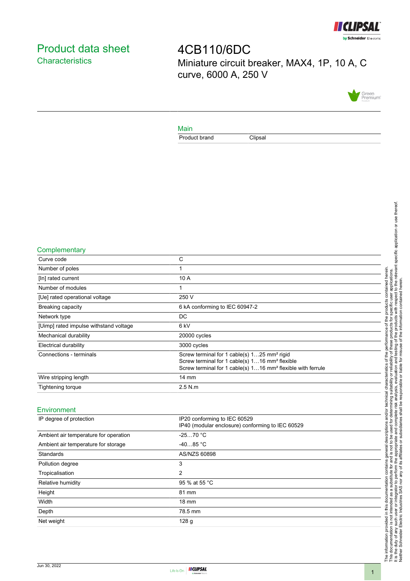

# <span id="page-0-0"></span>Product data sheet **Characteristics**

4CB110/6DC Miniature circuit breaker, MAX4, 1P, 10 A, C curve, 6000 A, 250 V



### Main

Product brand Clipsal

#### **Complementary**

| - - - - - - - - - - - - - - - - <sub>-</sub> |                                                                                                                                                                                                  |
|----------------------------------------------|--------------------------------------------------------------------------------------------------------------------------------------------------------------------------------------------------|
| Curve code                                   | C                                                                                                                                                                                                |
| Number of poles                              |                                                                                                                                                                                                  |
| [In] rated current                           | 10 A                                                                                                                                                                                             |
| Number of modules                            |                                                                                                                                                                                                  |
| [Ue] rated operational voltage               | 250 V                                                                                                                                                                                            |
| <b>Breaking capacity</b>                     | 6 kA conforming to IEC 60947-2                                                                                                                                                                   |
| Network type                                 | DC                                                                                                                                                                                               |
| [Uimp] rated impulse withstand voltage       | 6 kV                                                                                                                                                                                             |
| Mechanical durability                        | 20000 cycles                                                                                                                                                                                     |
| <b>Electrical durability</b>                 | 3000 cycles                                                                                                                                                                                      |
| Connections - terminals                      | Screw terminal for 1 cable(s) 125 mm <sup>2</sup> rigid<br>Screw terminal for 1 cable(s) 116 mm <sup>2</sup> flexible<br>Screw terminal for 1 cable(s) 116 mm <sup>2</sup> flexible with ferrule |
| Wire stripping length                        | $14 \text{ mm}$                                                                                                                                                                                  |
| Tightening torque                            | 2.5 N.m                                                                                                                                                                                          |
|                                              |                                                                                                                                                                                                  |

### **Environment**

| IP degree of protection               | IP20 conforming to IEC 60529<br>IP40 (modular enclosure) conforming to IEC 60529 |
|---------------------------------------|----------------------------------------------------------------------------------|
| Ambient air temperature for operation | $-2570 °C$                                                                       |
| Ambient air temperature for storage   | $-4085 °C$                                                                       |
| Standards                             | AS/NZS 60898                                                                     |
| Pollution degree                      | 3                                                                                |
| Tropicalisation                       | 2                                                                                |
| Relative humidity                     | 95 % at 55 °C                                                                    |
| Height                                | 81 mm                                                                            |
| Width                                 | $18 \text{ mm}$                                                                  |
| Depth                                 | 78.5 mm                                                                          |
| Net weight                            | 128 <sub>g</sub>                                                                 |